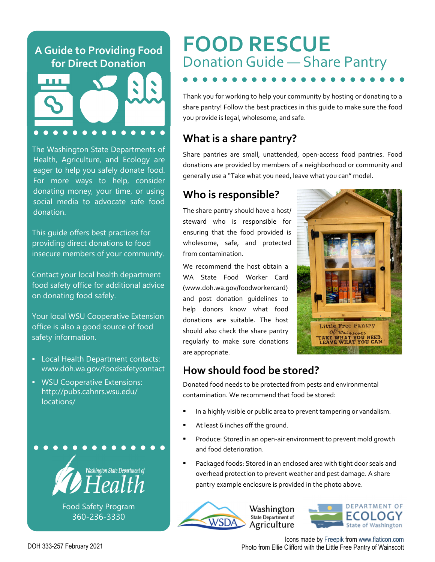#### **A Guide to Providing Food for Direct Donation**



The Washington State Departments of Health, Agriculture, and Ecology are eager to help you safely donate food. For more ways to help, consider donating money, your time, or using social media to advocate safe food donation.

This guide offers best practices for providing direct donations to food insecure members of your community.

Contact your local health department food safety office for additional advice on donating food safely.

Your local WSU Cooperative Extension office is also a good source of food safety information.

- Local Health Department contacts: www.doh.wa.gov/foodsafetycontact
- WSU Cooperative Extensions: http://pubs.cahnrs.wsu.edu/ locations/



Food Safety Program 360-236-3330

# **FOOD RESCUE** Donation Guide — Share Pantry

Thank you for working to help your community by hosting or donating to a share pantry! Follow the best practices in this guide to make sure the food you provide is legal, wholesome, and safe.

## **What is a share pantry?**

Share pantries are small, unattended, open‐access food pantries. Food donations are provided by members of a neighborhood or community and generally use a "Take what you need, leave what you can" model.

## **Who is responsible?**

The share pantry should have a host/ steward who is responsible for ensuring that the food provided is wholesome, safe, and protected from contamination.

We recommend the host obtain a WA State Food Worker Card (www.doh.wa.gov/foodworkercard) and post donation guidelines to help donors know what food donations are suitable. The host should also check the share pantry regularly to make sure donations are appropriate.



## **How should food be stored?**

Donated food needs to be protected from pests and environmental contamination. We recommend that food be stored:

- In a highly visible or public area to prevent tampering or vandalism.
- At least 6 inches off the ground.
- Produce: Stored in an open‐air environment to prevent mold growth and food deterioration.
- Packaged foods: Stored in an enclosed area with tight door seals and overhead protection to prevent weather and pest damage. A share pantry example enclosure is provided in the photo above.



**DEPARTMENT OF** ECOLOGY State of Washington

Icons made by Freepik from www.flaticon.com Photo from Ellie Clifford with the Little Free Pantry of Wainscott